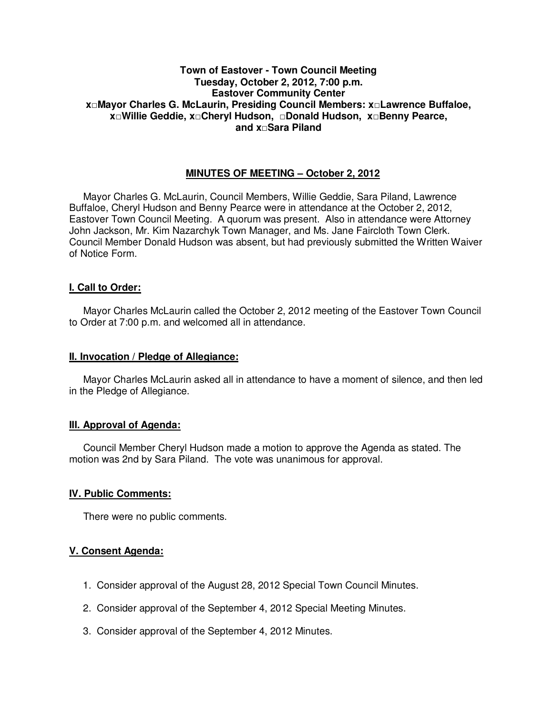# **Town of Eastover - Town Council Meeting Tuesday, October 2, 2012, 7:00 p.m. Eastover Community Center x□Mayor Charles G. McLaurin, Presiding Council Members: x□Lawrence Buffaloe, x□Willie Geddie, x□Cheryl Hudson, □Donald Hudson, x□Benny Pearce, and x□Sara Piland**

# **MINUTES OF MEETING – October 2, 2012**

Mayor Charles G. McLaurin, Council Members, Willie Geddie, Sara Piland, Lawrence Buffaloe, Cheryl Hudson and Benny Pearce were in attendance at the October 2, 2012, Eastover Town Council Meeting. A quorum was present. Also in attendance were Attorney John Jackson, Mr. Kim Nazarchyk Town Manager, and Ms. Jane Faircloth Town Clerk. Council Member Donald Hudson was absent, but had previously submitted the Written Waiver of Notice Form.

## **I. Call to Order:**

Mayor Charles McLaurin called the October 2, 2012 meeting of the Eastover Town Council to Order at 7:00 p.m. and welcomed all in attendance.

#### **II. Invocation / Pledge of Allegiance:**

 Mayor Charles McLaurin asked all in attendance to have a moment of silence, and then led in the Pledge of Allegiance.

## **III. Approval of Agenda:**

 Council Member Cheryl Hudson made a motion to approve the Agenda as stated. The motion was 2nd by Sara Piland. The vote was unanimous for approval.

## **IV. Public Comments:**

There were no public comments.

## **V. Consent Agenda:**

- 1. Consider approval of the August 28, 2012 Special Town Council Minutes.
- 2. Consider approval of the September 4, 2012 Special Meeting Minutes.
- 3. Consider approval of the September 4, 2012 Minutes.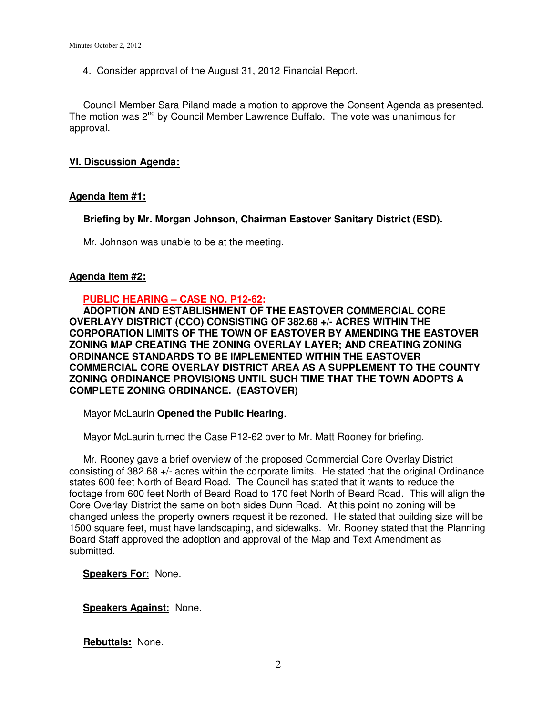4. Consider approval of the August 31, 2012 Financial Report.

Council Member Sara Piland made a motion to approve the Consent Agenda as presented. The motion was  $2^{nd}$  by Council Member Lawrence Buffalo. The vote was unanimous for approval.

## **VI. Discussion Agenda:**

# **Agenda Item #1:**

 **Briefing by Mr. Morgan Johnson, Chairman Eastover Sanitary District (ESD).** 

Mr. Johnson was unable to be at the meeting.

## **Agenda Item #2:**

## **PUBLIC HEARING – CASE NO. P12-62:**

 **ADOPTION AND ESTABLISHMENT OF THE EASTOVER COMMERCIAL CORE OVERLAYY DISTRICT (CCO) CONSISTING OF 382.68 +/- ACRES WITHIN THE CORPORATION LIMITS OF THE TOWN OF EASTOVER BY AMENDING THE EASTOVER ZONING MAP CREATING THE ZONING OVERLAY LAYER; AND CREATING ZONING ORDINANCE STANDARDS TO BE IMPLEMENTED WITHIN THE EASTOVER COMMERCIAL CORE OVERLAY DISTRICT AREA AS A SUPPLEMENT TO THE COUNTY ZONING ORDINANCE PROVISIONS UNTIL SUCH TIME THAT THE TOWN ADOPTS A COMPLETE ZONING ORDINANCE. (EASTOVER)** 

Mayor McLaurin **Opened the Public Hearing**.

Mayor McLaurin turned the Case P12-62 over to Mr. Matt Rooney for briefing.

 Mr. Rooney gave a brief overview of the proposed Commercial Core Overlay District consisting of 382.68 +/- acres within the corporate limits. He stated that the original Ordinance states 600 feet North of Beard Road. The Council has stated that it wants to reduce the footage from 600 feet North of Beard Road to 170 feet North of Beard Road. This will align the Core Overlay District the same on both sides Dunn Road. At this point no zoning will be changed unless the property owners request it be rezoned. He stated that building size will be 1500 square feet, must have landscaping, and sidewalks. Mr. Rooney stated that the Planning Board Staff approved the adoption and approval of the Map and Text Amendment as submitted.

## **Speakers For:** None.

**Speakers Against:** None.

**Rebuttals:** None.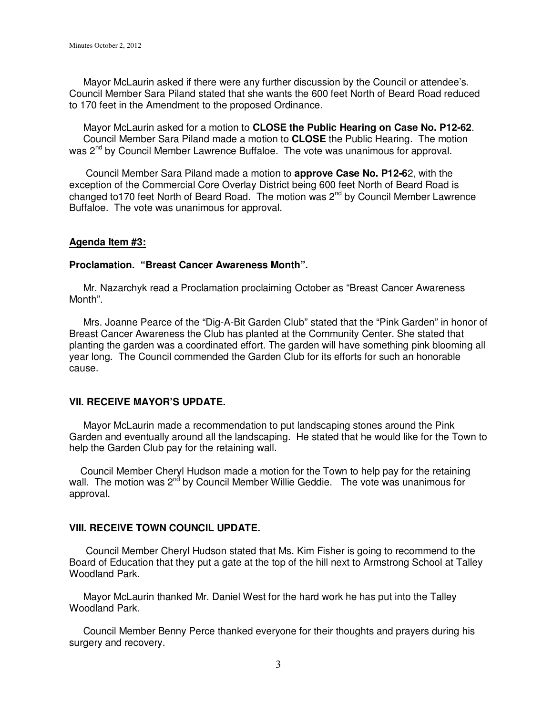Mayor McLaurin asked if there were any further discussion by the Council or attendee's. Council Member Sara Piland stated that she wants the 600 feet North of Beard Road reduced to 170 feet in the Amendment to the proposed Ordinance.

 Mayor McLaurin asked for a motion to **CLOSE the Public Hearing on Case No. P12-62**. Council Member Sara Piland made a motion to **CLOSE** the Public Hearing. The motion was 2nd by Council Member Lawrence Buffaloe.The vote was unanimous for approval.

 Council Member Sara Piland made a motion to **approve Case No. P12-6**2, with the exception of the Commercial Core Overlay District being 600 feet North of Beard Road is changed to170 feet North of Beard Road. The motion was 2nd by Council Member Lawrence Buffaloe. The vote was unanimous for approval.

#### **Agenda Item #3:**

#### **Proclamation. "Breast Cancer Awareness Month".**

 Mr. Nazarchyk read a Proclamation proclaiming October as "Breast Cancer Awareness Month".

 Mrs. Joanne Pearce of the "Dig-A-Bit Garden Club" stated that the "Pink Garden" in honor of Breast Cancer Awareness the Club has planted at the Community Center. She stated that planting the garden was a coordinated effort. The garden will have something pink blooming all year long. The Council commended the Garden Club for its efforts for such an honorable cause.

#### **VII. RECEIVE MAYOR'S UPDATE.**

 Mayor McLaurin made a recommendation to put landscaping stones around the Pink Garden and eventually around all the landscaping. He stated that he would like for the Town to help the Garden Club pay for the retaining wall.

 Council Member Cheryl Hudson made a motion for the Town to help pay for the retaining wall. The motion was 2<sup>nd</sup> by Council Member Willie Geddie. The vote was unanimous for approval.

#### **VIII. RECEIVE TOWN COUNCIL UPDATE.**

 Council Member Cheryl Hudson stated that Ms. Kim Fisher is going to recommend to the Board of Education that they put a gate at the top of the hill next to Armstrong School at Talley Woodland Park.

 Mayor McLaurin thanked Mr. Daniel West for the hard work he has put into the Talley Woodland Park.

 Council Member Benny Perce thanked everyone for their thoughts and prayers during his surgery and recovery.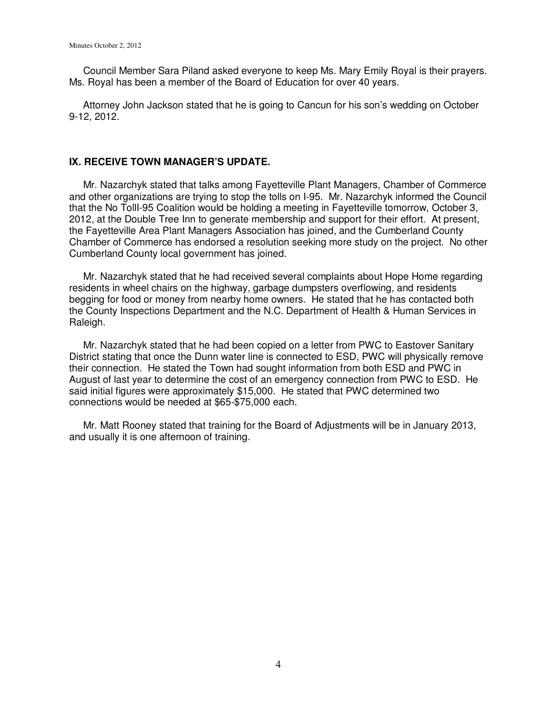Council Member Sara Piland asked everyone to keep Ms. Mary Emily Royal is their prayers. Ms. Royal has been a member of the Board of Education for over 40 years.

 Attorney John Jackson stated that he is going to Cancun for his son's wedding on October 9-12, 2012.

#### **IX. RECEIVE TOWN MANAGER'S UPDATE.**

 Mr. Nazarchyk stated that talks among Fayetteville Plant Managers, Chamber of Commerce and other organizations are trying to stop the tolls on I-95. Mr. Nazarchyk informed the Council that the No TollI-95 Coalition would be holding a meeting in Fayetteville tomorrow, October 3, 2012, at the Double Tree Inn to generate membership and support for their effort. At present, the Fayetteville Area Plant Managers Association has joined, and the Cumberland County Chamber of Commerce has endorsed a resolution seeking more study on the project. No other Cumberland County local government has joined.

 Mr. Nazarchyk stated that he had received several complaints about Hope Home regarding residents in wheel chairs on the highway, garbage dumpsters overflowing, and residents begging for food or money from nearby home owners. He stated that he has contacted both the County Inspections Department and the N.C. Department of Health & Human Services in Raleigh.

 Mr. Nazarchyk stated that he had been copied on a letter from PWC to Eastover Sanitary District stating that once the Dunn water line is connected to ESD, PWC will physically remove their connection. He stated the Town had sought information from both ESD and PWC in August of last year to determine the cost of an emergency connection from PWC to ESD. He said initial figures were approximately \$15,000. He stated that PWC determined two connections would be needed at \$65-\$75,000 each.

 Mr. Matt Rooney stated that training for the Board of Adjustments will be in January 2013, and usually it is one afternoon of training.